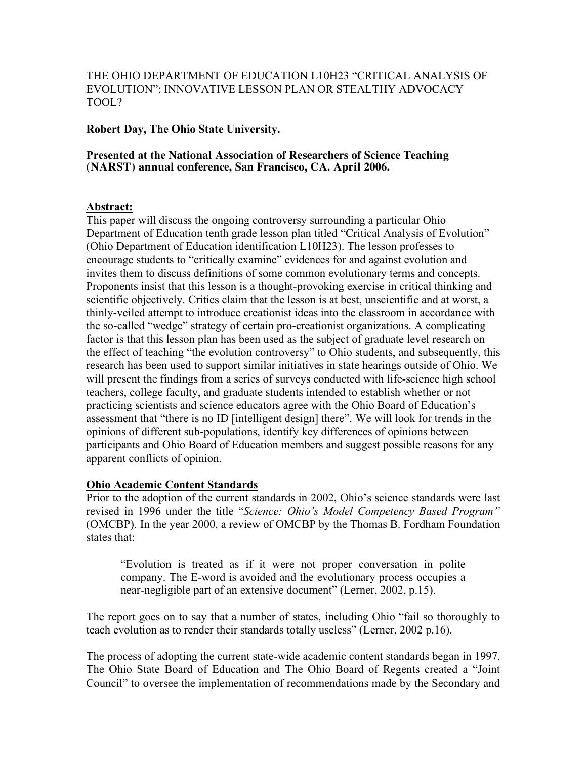THE OHIO DEPARTMENT OF EDUCATION L10H23 "CRITICAL ANALYSIS OF EVOLUTION"; INNOVATIVE LESSON PLAN OR STEALTHY ADVOCACY TOOL?

**Robert Day, The Ohio State University.**

#### **Presented at the National Association of Researchers of Science Teaching (NARST) annual conference, San Francisco, CA. April 2006.**

### **Abstract:**

This paper will discuss the ongoing controversy surrounding a particular Ohio Department of Education tenth grade lesson plan titled "Critical Analysis of Evolution" (Ohio Department of Education identification L10H23). The lesson professes to encourage students to "critically examine" evidences for and against evolution and invites them to discuss definitions of some common evolutionary terms and concepts. Proponents insist that this lesson is a thought-provoking exercise in critical thinking and scientific objectively. Critics claim that the lesson is at best, unscientific and at worst, a thinly-veiled attempt to introduce creationist ideas into the classroom in accordance with the so-called "wedge" strategy of certain pro-creationist organizations. A complicating factor is that this lesson plan has been used as the subject of graduate level research on the effect of teaching "the evolution controversy" to Ohio students, and subsequently, this research has been used to support similar initiatives in state hearings outside of Ohio. We will present the findings from a series of surveys conducted with life-science high school teachers, college faculty, and graduate students intended to establish whether or not practicing scientists and science educators agree with the Ohio Board of Education's assessment that "there is no ID [intelligent design] there". We will look for trends in the opinions of different sub-populations, identify key differences of opinions between participants and Ohio Board of Education members and suggest possible reasons for any apparent conflicts of opinion.

### **Ohio Academic Content Standards**

Prior to the adoption of the current standards in 2002, Ohio's science standards were last revised in 1996 under the title "*Science: Ohio's Model Competency Based Program"* (OMCBP). In the year 2000, a review of OMCBP by the Thomas B. Fordham Foundation states that:

"Evolution is treated as if it were not proper conversation in polite company. The E-word is avoided and the evolutionary process occupies a near-negligible part of an extensive document" (Lerner, 2002, p.15).

The report goes on to say that a number of states, including Ohio "fail so thoroughly to teach evolution as to render their standards totally useless" (Lerner, 2002 p.16).

The process of adopting the current state-wide academic content standards began in 1997. The Ohio State Board of Education and The Ohio Board of Regents created a "Joint Council" to oversee the implementation of recommendations made by the Secondary and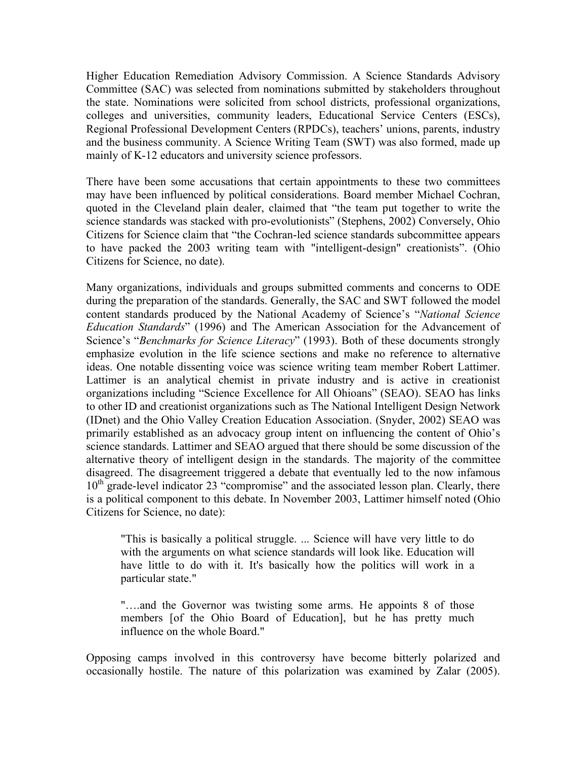Higher Education Remediation Advisory Commission. A Science Standards Advisory Committee (SAC) was selected from nominations submitted by stakeholders throughout the state. Nominations were solicited from school districts, professional organizations, colleges and universities, community leaders, Educational Service Centers (ESCs), Regional Professional Development Centers (RPDCs), teachers' unions, parents, industry and the business community. A Science Writing Team (SWT) was also formed, made up mainly of K-12 educators and university science professors.

There have been some accusations that certain appointments to these two committees may have been influenced by political considerations. Board member Michael Cochran, quoted in the Cleveland plain dealer, claimed that "the team put together to write the science standards was stacked with pro-evolutionists" (Stephens, 2002) Conversely, Ohio Citizens for Science claim that "the Cochran-led science standards subcommittee appears to have packed the 2003 writing team with "intelligent-design" creationists". (Ohio Citizens for Science, no date).

Many organizations, individuals and groups submitted comments and concerns to ODE during the preparation of the standards. Generally, the SAC and SWT followed the model content standards produced by the National Academy of Science's "*National Science Education Standards*" (1996) and The American Association for the Advancement of Science's "*Benchmarks for Science Literacy*" (1993). Both of these documents strongly emphasize evolution in the life science sections and make no reference to alternative ideas. One notable dissenting voice was science writing team member Robert Lattimer. Lattimer is an analytical chemist in private industry and is active in creationist organizations including "Science Excellence for All Ohioans" (SEAO). SEAO has links to other ID and creationist organizations such as The National Intelligent Design Network (IDnet) and the Ohio Valley Creation Education Association. (Snyder, 2002) SEAO was primarily established as an advocacy group intent on influencing the content of Ohio's science standards. Lattimer and SEAO argued that there should be some discussion of the alternative theory of intelligent design in the standards. The majority of the committee disagreed. The disagreement triggered a debate that eventually led to the now infamous 10<sup>th</sup> grade-level indicator 23 "compromise" and the associated lesson plan. Clearly, there is a political component to this debate. In November 2003, Lattimer himself noted (Ohio Citizens for Science, no date):

"This is basically a political struggle. ... Science will have very little to do with the arguments on what science standards will look like. Education will have little to do with it. It's basically how the politics will work in a particular state."

"….and the Governor was twisting some arms. He appoints 8 of those members [of the Ohio Board of Education], but he has pretty much influence on the whole Board."

Opposing camps involved in this controversy have become bitterly polarized and occasionally hostile. The nature of this polarization was examined by Zalar (2005).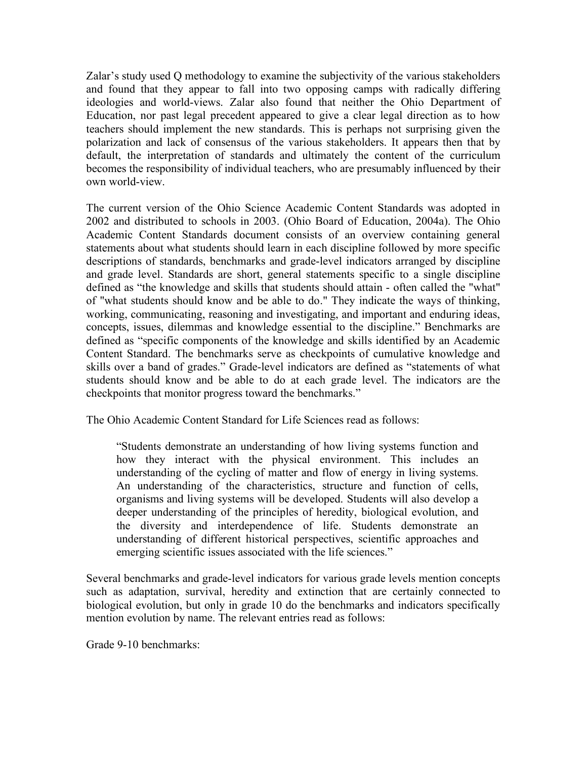Zalar's study used Q methodology to examine the subjectivity of the various stakeholders and found that they appear to fall into two opposing camps with radically differing ideologies and world-views. Zalar also found that neither the Ohio Department of Education, nor past legal precedent appeared to give a clear legal direction as to how teachers should implement the new standards. This is perhaps not surprising given the polarization and lack of consensus of the various stakeholders. It appears then that by default, the interpretation of standards and ultimately the content of the curriculum becomes the responsibility of individual teachers, who are presumably influenced by their own world-view.

The current version of the Ohio Science Academic Content Standards was adopted in 2002 and distributed to schools in 2003. (Ohio Board of Education, 2004a). The Ohio Academic Content Standards document consists of an overview containing general statements about what students should learn in each discipline followed by more specific descriptions of standards, benchmarks and grade-level indicators arranged by discipline and grade level. Standards are short, general statements specific to a single discipline defined as "the knowledge and skills that students should attain - often called the "what" of "what students should know and be able to do." They indicate the ways of thinking, working, communicating, reasoning and investigating, and important and enduring ideas, concepts, issues, dilemmas and knowledge essential to the discipline." Benchmarks are defined as "specific components of the knowledge and skills identified by an Academic Content Standard. The benchmarks serve as checkpoints of cumulative knowledge and skills over a band of grades." Grade-level indicators are defined as "statements of what students should know and be able to do at each grade level. The indicators are the checkpoints that monitor progress toward the benchmarks."

The Ohio Academic Content Standard for Life Sciences read as follows:

"Students demonstrate an understanding of how living systems function and how they interact with the physical environment. This includes an understanding of the cycling of matter and flow of energy in living systems. An understanding of the characteristics, structure and function of cells, organisms and living systems will be developed. Students will also develop a deeper understanding of the principles of heredity, biological evolution, and the diversity and interdependence of life. Students demonstrate an understanding of different historical perspectives, scientific approaches and emerging scientific issues associated with the life sciences."

Several benchmarks and grade-level indicators for various grade levels mention concepts such as adaptation, survival, heredity and extinction that are certainly connected to biological evolution, but only in grade 10 do the benchmarks and indicators specifically mention evolution by name. The relevant entries read as follows:

Grade 9-10 benchmarks: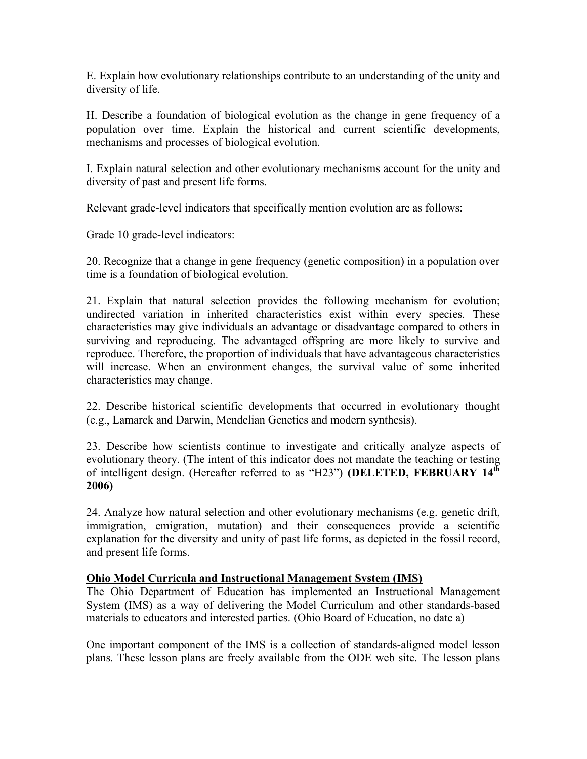E. Explain how evolutionary relationships contribute to an understanding of the unity and diversity of life.

H. Describe a foundation of biological evolution as the change in gene frequency of a population over time. Explain the historical and current scientific developments, mechanisms and processes of biological evolution.

I. Explain natural selection and other evolutionary mechanisms account for the unity and diversity of past and present life forms.

Relevant grade-level indicators that specifically mention evolution are as follows:

Grade 10 grade-level indicators:

20. Recognize that a change in gene frequency (genetic composition) in a population over time is a foundation of biological evolution.

21. Explain that natural selection provides the following mechanism for evolution; undirected variation in inherited characteristics exist within every species. These characteristics may give individuals an advantage or disadvantage compared to others in surviving and reproducing. The advantaged offspring are more likely to survive and reproduce. Therefore, the proportion of individuals that have advantageous characteristics will increase. When an environment changes, the survival value of some inherited characteristics may change.

22. Describe historical scientific developments that occurred in evolutionary thought (e.g., Lamarck and Darwin, Mendelian Genetics and modern synthesis).

23. Describe how scientists continue to investigate and critically analyze aspects of evolutionary theory. (The intent of this indicator does not mandate the teaching or testing of intelligent design. (Hereafter referred to as "H23") **(DELETED, FEBRUARY 14th 2006)**

24. Analyze how natural selection and other evolutionary mechanisms (e.g. genetic drift, immigration, emigration, mutation) and their consequences provide a scientific explanation for the diversity and unity of past life forms, as depicted in the fossil record, and present life forms.

### **Ohio Model Curricula and Instructional Management System (IMS)**

The Ohio Department of Education has implemented an Instructional Management System (IMS) as a way of delivering the Model Curriculum and other standards-based materials to educators and interested parties. (Ohio Board of Education, no date a)

One important component of the IMS is a collection of standards-aligned model lesson plans. These lesson plans are freely available from the ODE web site. The lesson plans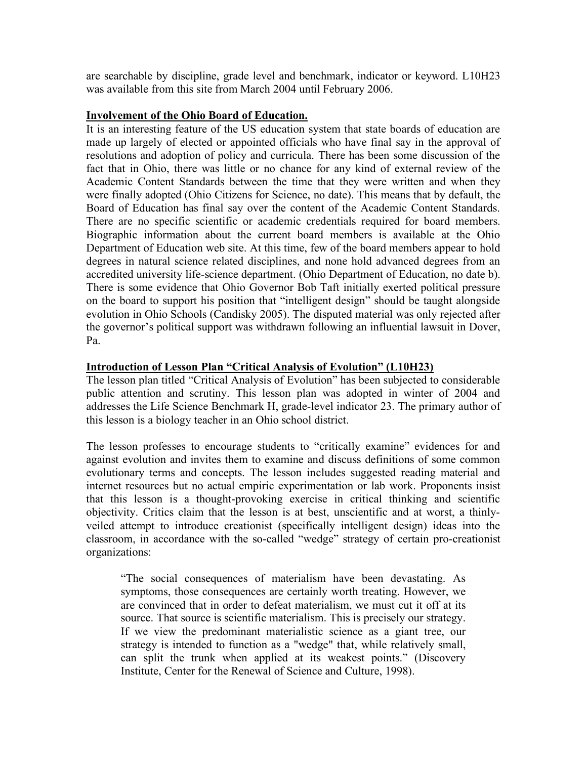are searchable by discipline, grade level and benchmark, indicator or keyword. L10H23 was available from this site from March 2004 until February 2006.

### **Involvement of the Ohio Board of Education.**

It is an interesting feature of the US education system that state boards of education are made up largely of elected or appointed officials who have final say in the approval of resolutions and adoption of policy and curricula. There has been some discussion of the fact that in Ohio, there was little or no chance for any kind of external review of the Academic Content Standards between the time that they were written and when they were finally adopted (Ohio Citizens for Science, no date). This means that by default, the Board of Education has final say over the content of the Academic Content Standards. There are no specific scientific or academic credentials required for board members. Biographic information about the current board members is available at the Ohio Department of Education web site. At this time, few of the board members appear to hold degrees in natural science related disciplines, and none hold advanced degrees from an accredited university life-science department. (Ohio Department of Education, no date b). There is some evidence that Ohio Governor Bob Taft initially exerted political pressure on the board to support his position that "intelligent design" should be taught alongside evolution in Ohio Schools (Candisky 2005). The disputed material was only rejected after the governor's political support was withdrawn following an influential lawsuit in Dover, Pa.

### **Introduction of Lesson Plan "Critical Analysis of Evolution" (L10H23)**

The lesson plan titled "Critical Analysis of Evolution" has been subjected to considerable public attention and scrutiny. This lesson plan was adopted in winter of 2004 and addresses the Life Science Benchmark H, grade-level indicator 23. The primary author of this lesson is a biology teacher in an Ohio school district.

The lesson professes to encourage students to "critically examine" evidences for and against evolution and invites them to examine and discuss definitions of some common evolutionary terms and concepts. The lesson includes suggested reading material and internet resources but no actual empiric experimentation or lab work. Proponents insist that this lesson is a thought-provoking exercise in critical thinking and scientific objectivity. Critics claim that the lesson is at best, unscientific and at worst, a thinlyveiled attempt to introduce creationist (specifically intelligent design) ideas into the classroom, in accordance with the so-called "wedge" strategy of certain pro-creationist organizations:

"The social consequences of materialism have been devastating. As symptoms, those consequences are certainly worth treating. However, we are convinced that in order to defeat materialism, we must cut it off at its source. That source is scientific materialism. This is precisely our strategy. If we view the predominant materialistic science as a giant tree, our strategy is intended to function as a "wedge" that, while relatively small, can split the trunk when applied at its weakest points." (Discovery Institute, Center for the Renewal of Science and Culture, 1998).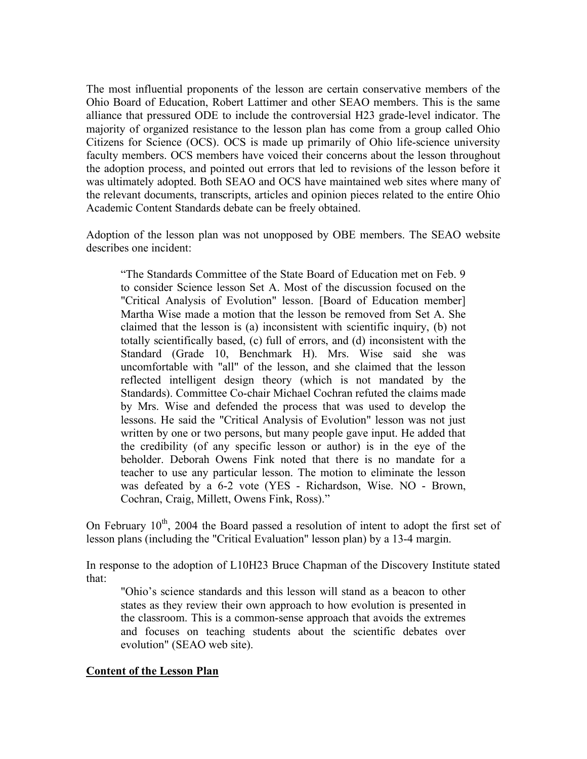The most influential proponents of the lesson are certain conservative members of the Ohio Board of Education, Robert Lattimer and other SEAO members. This is the same alliance that pressured ODE to include the controversial H23 grade-level indicator. The majority of organized resistance to the lesson plan has come from a group called Ohio Citizens for Science (OCS). OCS is made up primarily of Ohio life-science university faculty members. OCS members have voiced their concerns about the lesson throughout the adoption process, and pointed out errors that led to revisions of the lesson before it was ultimately adopted. Both SEAO and OCS have maintained web sites where many of the relevant documents, transcripts, articles and opinion pieces related to the entire Ohio Academic Content Standards debate can be freely obtained.

Adoption of the lesson plan was not unopposed by OBE members. The SEAO website describes one incident:

"The Standards Committee of the State Board of Education met on Feb. 9 to consider Science lesson Set A. Most of the discussion focused on the "Critical Analysis of Evolution" lesson. [Board of Education member] Martha Wise made a motion that the lesson be removed from Set A. She claimed that the lesson is (a) inconsistent with scientific inquiry, (b) not totally scientifically based, (c) full of errors, and (d) inconsistent with the Standard (Grade 10, Benchmark H). Mrs. Wise said she was uncomfortable with "all" of the lesson, and she claimed that the lesson reflected intelligent design theory (which is not mandated by the Standards). Committee Co-chair Michael Cochran refuted the claims made by Mrs. Wise and defended the process that was used to develop the lessons. He said the "Critical Analysis of Evolution" lesson was not just written by one or two persons, but many people gave input. He added that the credibility (of any specific lesson or author) is in the eye of the beholder. Deborah Owens Fink noted that there is no mandate for a teacher to use any particular lesson. The motion to eliminate the lesson was defeated by a 6-2 vote (YES - Richardson, Wise. NO - Brown, Cochran, Craig, Millett, Owens Fink, Ross)."

On February  $10^{th}$ , 2004 the Board passed a resolution of intent to adopt the first set of lesson plans (including the "Critical Evaluation" lesson plan) by a 13-4 margin.

In response to the adoption of L10H23 Bruce Chapman of the Discovery Institute stated that:

"Ohio's science standards and this lesson will stand as a beacon to other states as they review their own approach to how evolution is presented in the classroom. This is a common-sense approach that avoids the extremes and focuses on teaching students about the scientific debates over evolution" (SEAO web site).

### **Content of the Lesson Plan**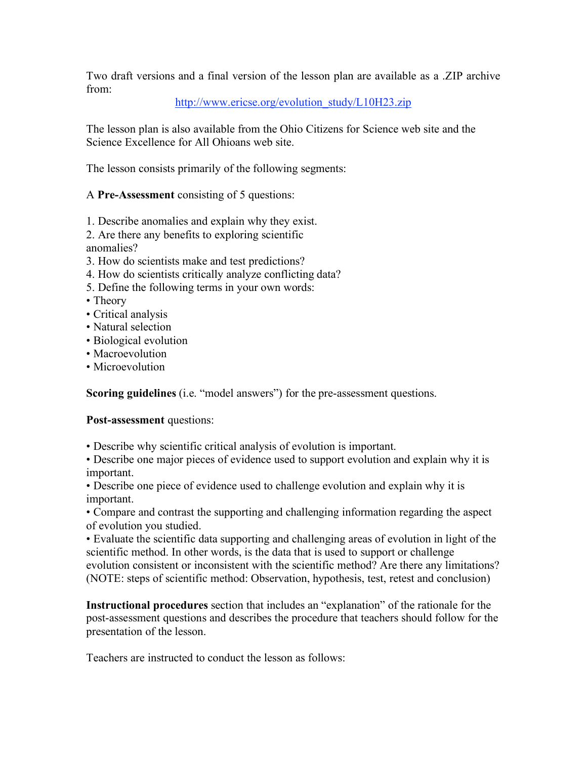Two draft versions and a final version of the lesson plan are available as a .ZIP archive from:

## http://www.ericse.org/evolution\_study/L10H23.zip

The lesson plan is also available from the Ohio Citizens for Science web site and the Science Excellence for All Ohioans web site.

The lesson consists primarily of the following segments:

A **Pre-Assessment** consisting of 5 questions:

1. Describe anomalies and explain why they exist.

2. Are there any benefits to exploring scientific anomalies?

- 3. How do scientists make and test predictions?
- 4. How do scientists critically analyze conflicting data?
- 5. Define the following terms in your own words:
- Theory
- Critical analysis
- Natural selection
- Biological evolution
- Macroevolution
- Microevolution

**Scoring guidelines** (i.e. "model answers") for the pre-assessment questions.

**Post-assessment** questions:

• Describe why scientific critical analysis of evolution is important.

• Describe one major pieces of evidence used to support evolution and explain why it is important.

• Describe one piece of evidence used to challenge evolution and explain why it is important.

• Compare and contrast the supporting and challenging information regarding the aspect of evolution you studied.

• Evaluate the scientific data supporting and challenging areas of evolution in light of the scientific method. In other words, is the data that is used to support or challenge evolution consistent or inconsistent with the scientific method? Are there any limitations? (NOTE: steps of scientific method: Observation, hypothesis, test, retest and conclusion)

**Instructional procedures** section that includes an "explanation" of the rationale for the post-assessment questions and describes the procedure that teachers should follow for the presentation of the lesson.

Teachers are instructed to conduct the lesson as follows: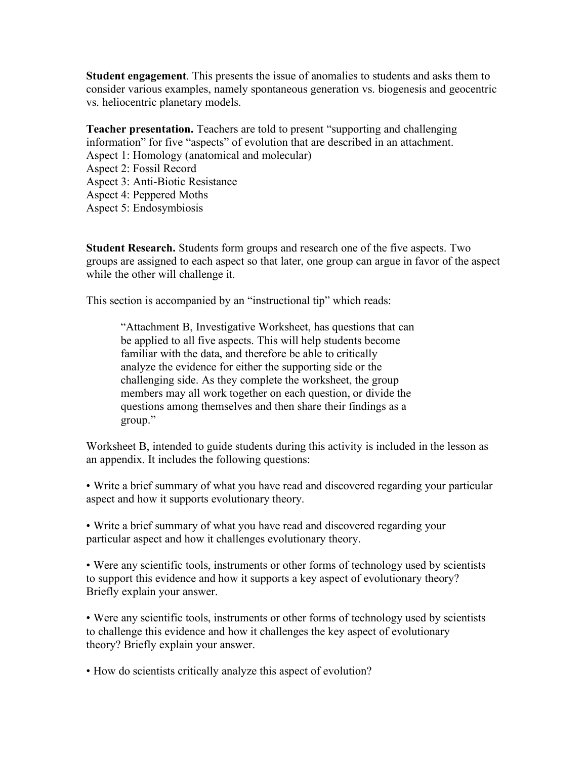**Student engagement**. This presents the issue of anomalies to students and asks them to consider various examples, namely spontaneous generation vs. biogenesis and geocentric vs. heliocentric planetary models.

**Teacher presentation.** Teachers are told to present "supporting and challenging information" for five "aspects" of evolution that are described in an attachment. Aspect 1: Homology (anatomical and molecular) Aspect 2: Fossil Record Aspect 3: Anti-Biotic Resistance Aspect 4: Peppered Moths Aspect 5: Endosymbiosis

**Student Research.** Students form groups and research one of the five aspects. Two groups are assigned to each aspect so that later, one group can argue in favor of the aspect while the other will challenge it.

This section is accompanied by an "instructional tip" which reads:

"Attachment B, Investigative Worksheet, has questions that can be applied to all five aspects. This will help students become familiar with the data, and therefore be able to critically analyze the evidence for either the supporting side or the challenging side. As they complete the worksheet, the group members may all work together on each question, or divide the questions among themselves and then share their findings as a group."

Worksheet B, intended to guide students during this activity is included in the lesson as an appendix. It includes the following questions:

• Write a brief summary of what you have read and discovered regarding your particular aspect and how it supports evolutionary theory.

• Write a brief summary of what you have read and discovered regarding your particular aspect and how it challenges evolutionary theory.

• Were any scientific tools, instruments or other forms of technology used by scientists to support this evidence and how it supports a key aspect of evolutionary theory? Briefly explain your answer.

• Were any scientific tools, instruments or other forms of technology used by scientists to challenge this evidence and how it challenges the key aspect of evolutionary theory? Briefly explain your answer.

• How do scientists critically analyze this aspect of evolution?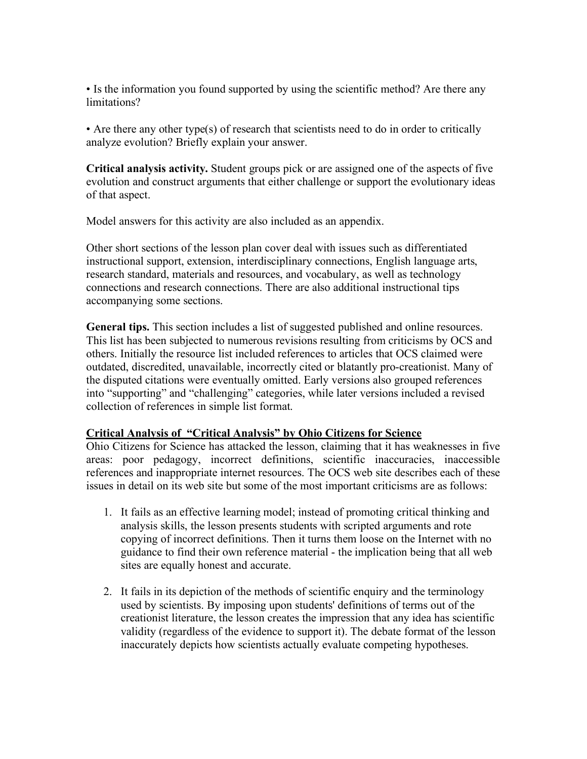• Is the information you found supported by using the scientific method? Are there any limitations?

• Are there any other type(s) of research that scientists need to do in order to critically analyze evolution? Briefly explain your answer.

**Critical analysis activity.** Student groups pick or are assigned one of the aspects of five evolution and construct arguments that either challenge or support the evolutionary ideas of that aspect.

Model answers for this activity are also included as an appendix.

Other short sections of the lesson plan cover deal with issues such as differentiated instructional support, extension, interdisciplinary connections, English language arts, research standard, materials and resources, and vocabulary, as well as technology connections and research connections. There are also additional instructional tips accompanying some sections.

**General tips.** This section includes a list of suggested published and online resources. This list has been subjected to numerous revisions resulting from criticisms by OCS and others. Initially the resource list included references to articles that OCS claimed were outdated, discredited, unavailable, incorrectly cited or blatantly pro-creationist. Many of the disputed citations were eventually omitted. Early versions also grouped references into "supporting" and "challenging" categories, while later versions included a revised collection of references in simple list format.

### **Critical Analysis of "Critical Analysis" by Ohio Citizens for Science**

Ohio Citizens for Science has attacked the lesson, claiming that it has weaknesses in five areas: poor pedagogy, incorrect definitions, scientific inaccuracies, inaccessible references and inappropriate internet resources. The OCS web site describes each of these issues in detail on its web site but some of the most important criticisms are as follows:

- 1. It fails as an effective learning model; instead of promoting critical thinking and analysis skills, the lesson presents students with scripted arguments and rote copying of incorrect definitions. Then it turns them loose on the Internet with no guidance to find their own reference material - the implication being that all web sites are equally honest and accurate.
- 2. It fails in its depiction of the methods of scientific enquiry and the terminology used by scientists. By imposing upon students' definitions of terms out of the creationist literature, the lesson creates the impression that any idea has scientific validity (regardless of the evidence to support it). The debate format of the lesson inaccurately depicts how scientists actually evaluate competing hypotheses.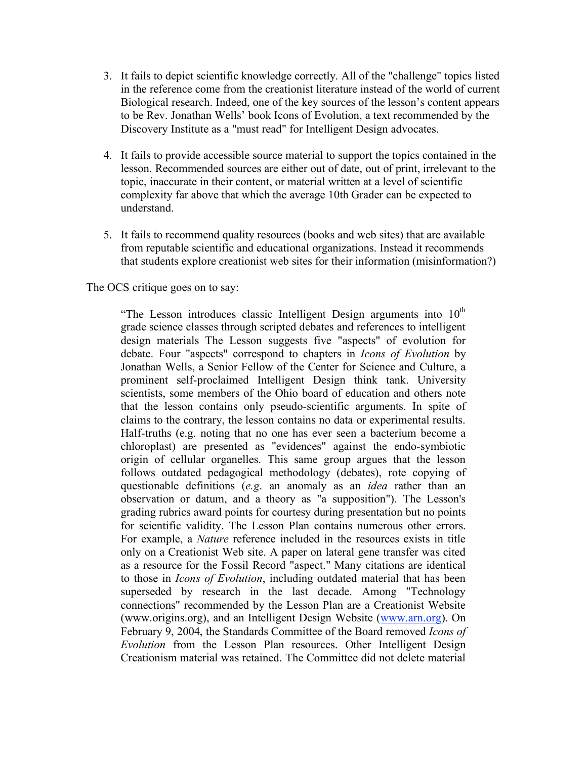- 3. It fails to depict scientific knowledge correctly. All of the "challenge" topics listed in the reference come from the creationist literature instead of the world of current Biological research. Indeed, one of the key sources of the lesson's content appears to be Rev. Jonathan Wells' book Icons of Evolution, a text recommended by the Discovery Institute as a "must read" for Intelligent Design advocates.
- 4. It fails to provide accessible source material to support the topics contained in the lesson. Recommended sources are either out of date, out of print, irrelevant to the topic, inaccurate in their content, or material written at a level of scientific complexity far above that which the average 10th Grader can be expected to understand.
- 5. It fails to recommend quality resources (books and web sites) that are available from reputable scientific and educational organizations. Instead it recommends that students explore creationist web sites for their information (misinformation?)

### The OCS critique goes on to say:

"The Lesson introduces classic Intelligent Design arguments into  $10<sup>th</sup>$ grade science classes through scripted debates and references to intelligent design materials The Lesson suggests five "aspects" of evolution for debate. Four "aspects" correspond to chapters in *Icons of Evolution* by Jonathan Wells, a Senior Fellow of the Center for Science and Culture, a prominent self-proclaimed Intelligent Design think tank. University scientists, some members of the Ohio board of education and others note that the lesson contains only pseudo-scientific arguments. In spite of claims to the contrary, the lesson contains no data or experimental results. Half-truths (e.g. noting that no one has ever seen a bacterium become a chloroplast) are presented as "evidences" against the endo-symbiotic origin of cellular organelles. This same group argues that the lesson follows outdated pedagogical methodology (debates), rote copying of questionable definitions (*e.g*. an anomaly as an *idea* rather than an observation or datum, and a theory as "a supposition"). The Lesson's grading rubrics award points for courtesy during presentation but no points for scientific validity. The Lesson Plan contains numerous other errors. For example, a *Nature* reference included in the resources exists in title only on a Creationist Web site. A paper on lateral gene transfer was cited as a resource for the Fossil Record "aspect." Many citations are identical to those in *Icons of Evolution*, including outdated material that has been superseded by research in the last decade. Among "Technology connections" recommended by the Lesson Plan are a Creationist Website (www.origins.org), and an Intelligent Design Website (www.arn.org). On February 9, 2004, the Standards Committee of the Board removed *Icons of Evolution* from the Lesson Plan resources. Other Intelligent Design Creationism material was retained. The Committee did not delete material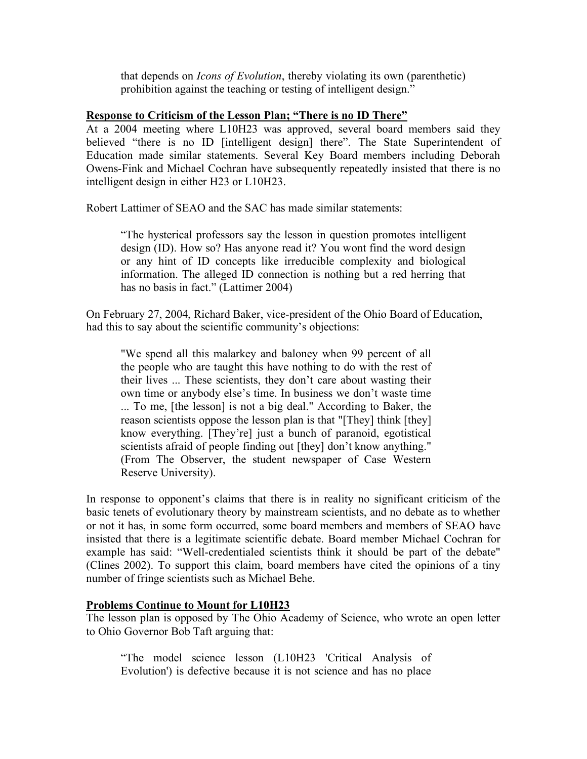that depends on *Icons of Evolution*, thereby violating its own (parenthetic) prohibition against the teaching or testing of intelligent design."

### **Response to Criticism of the Lesson Plan; "There is no ID There"**

At a 2004 meeting where L10H23 was approved, several board members said they believed "there is no ID [intelligent design] there". The State Superintendent of Education made similar statements. Several Key Board members including Deborah Owens-Fink and Michael Cochran have subsequently repeatedly insisted that there is no intelligent design in either H23 or L10H23.

Robert Lattimer of SEAO and the SAC has made similar statements:

"The hysterical professors say the lesson in question promotes intelligent design (ID). How so? Has anyone read it? You wont find the word design or any hint of ID concepts like irreducible complexity and biological information. The alleged ID connection is nothing but a red herring that has no basis in fact." (Lattimer 2004)

On February 27, 2004, Richard Baker, vice-president of the Ohio Board of Education, had this to say about the scientific community's objections:

"We spend all this malarkey and baloney when 99 percent of all the people who are taught this have nothing to do with the rest of their lives ... These scientists, they don't care about wasting their own time or anybody else's time. In business we don't waste time ... To me, [the lesson] is not a big deal." According to Baker, the reason scientists oppose the lesson plan is that "[They] think [they] know everything. [They're] just a bunch of paranoid, egotistical scientists afraid of people finding out [they] don't know anything." (From The Observer, the student newspaper of Case Western Reserve University).

In response to opponent's claims that there is in reality no significant criticism of the basic tenets of evolutionary theory by mainstream scientists, and no debate as to whether or not it has, in some form occurred, some board members and members of SEAO have insisted that there is a legitimate scientific debate. Board member Michael Cochran for example has said: "Well-credentialed scientists think it should be part of the debate" (Clines 2002). To support this claim, board members have cited the opinions of a tiny number of fringe scientists such as Michael Behe.

### **Problems Continue to Mount for L10H23**

The lesson plan is opposed by The Ohio Academy of Science, who wrote an open letter to Ohio Governor Bob Taft arguing that:

"The model science lesson (L10H23 'Critical Analysis of Evolution') is defective because it is not science and has no place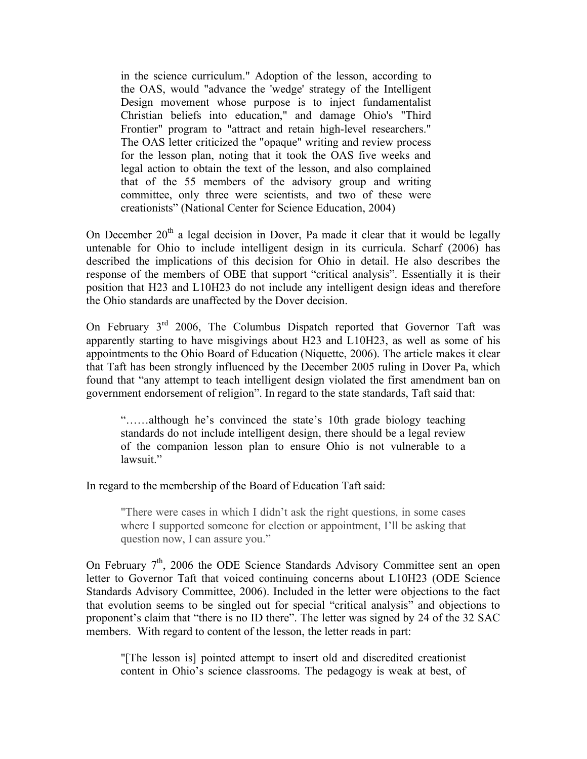in the science curriculum." Adoption of the lesson, according to the OAS, would "advance the 'wedge' strategy of the Intelligent Design movement whose purpose is to inject fundamentalist Christian beliefs into education," and damage Ohio's "Third Frontier" program to "attract and retain high-level researchers." The OAS letter criticized the "opaque" writing and review process for the lesson plan, noting that it took the OAS five weeks and legal action to obtain the text of the lesson, and also complained that of the 55 members of the advisory group and writing committee, only three were scientists, and two of these were creationists" (National Center for Science Education, 2004)

On December  $20<sup>th</sup>$  a legal decision in Dover, Pa made it clear that it would be legally untenable for Ohio to include intelligent design in its curricula. Scharf (2006) has described the implications of this decision for Ohio in detail. He also describes the response of the members of OBE that support "critical analysis". Essentially it is their position that H23 and L10H23 do not include any intelligent design ideas and therefore the Ohio standards are unaffected by the Dover decision.

On February  $3<sup>rd</sup>$  2006, The Columbus Dispatch reported that Governor Taft was apparently starting to have misgivings about H23 and L10H23, as well as some of his appointments to the Ohio Board of Education (Niquette, 2006). The article makes it clear that Taft has been strongly influenced by the December 2005 ruling in Dover Pa, which found that "any attempt to teach intelligent design violated the first amendment ban on government endorsement of religion". In regard to the state standards, Taft said that:

"……although he's convinced the state's 10th grade biology teaching standards do not include intelligent design, there should be a legal review of the companion lesson plan to ensure Ohio is not vulnerable to a lawsuit."

In regard to the membership of the Board of Education Taft said:

"There were cases in which I didn't ask the right questions, in some cases where I supported someone for election or appointment, I'll be asking that question now, I can assure you."

On February 7<sup>th</sup>, 2006 the ODE Science Standards Advisory Committee sent an open letter to Governor Taft that voiced continuing concerns about L10H23 (ODE Science Standards Advisory Committee, 2006). Included in the letter were objections to the fact that evolution seems to be singled out for special "critical analysis" and objections to proponent's claim that "there is no ID there". The letter was signed by 24 of the 32 SAC members. With regard to content of the lesson, the letter reads in part:

"[The lesson is] pointed attempt to insert old and discredited creationist content in Ohio's science classrooms. The pedagogy is weak at best, of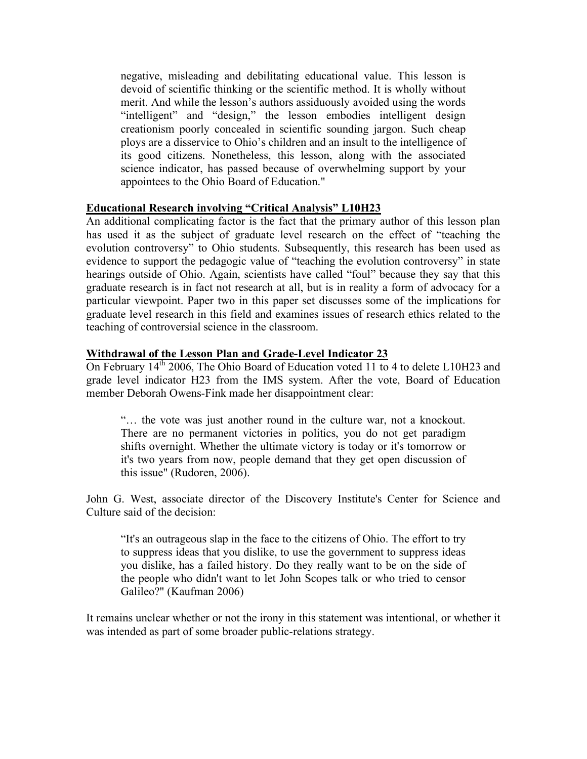negative, misleading and debilitating educational value. This lesson is devoid of scientific thinking or the scientific method. It is wholly without merit. And while the lesson's authors assiduously avoided using the words "intelligent" and "design," the lesson embodies intelligent design creationism poorly concealed in scientific sounding jargon. Such cheap ploys are a disservice to Ohio's children and an insult to the intelligence of its good citizens. Nonetheless, this lesson, along with the associated science indicator, has passed because of overwhelming support by your appointees to the Ohio Board of Education."

### **Educational Research involving "Critical Analysis" L10H23**

An additional complicating factor is the fact that the primary author of this lesson plan has used it as the subject of graduate level research on the effect of "teaching the evolution controversy" to Ohio students. Subsequently, this research has been used as evidence to support the pedagogic value of "teaching the evolution controversy" in state hearings outside of Ohio. Again, scientists have called "foul" because they say that this graduate research is in fact not research at all, but is in reality a form of advocacy for a particular viewpoint. Paper two in this paper set discusses some of the implications for graduate level research in this field and examines issues of research ethics related to the teaching of controversial science in the classroom.

### **Withdrawal of the Lesson Plan and Grade-Level Indicator 23**

On February  $14^{th}$  2006, The Ohio Board of Education voted 11 to 4 to delete L10H23 and grade level indicator H23 from the IMS system. After the vote, Board of Education member Deborah Owens-Fink made her disappointment clear:

"… the vote was just another round in the culture war, not a knockout. There are no permanent victories in politics, you do not get paradigm shifts overnight. Whether the ultimate victory is today or it's tomorrow or it's two years from now, people demand that they get open discussion of this issue" (Rudoren, 2006).

John G. West, associate director of the Discovery Institute's Center for Science and Culture said of the decision:

"It's an outrageous slap in the face to the citizens of Ohio. The effort to try to suppress ideas that you dislike, to use the government to suppress ideas you dislike, has a failed history. Do they really want to be on the side of the people who didn't want to let John Scopes talk or who tried to censor Galileo?" (Kaufman 2006)

It remains unclear whether or not the irony in this statement was intentional, or whether it was intended as part of some broader public-relations strategy.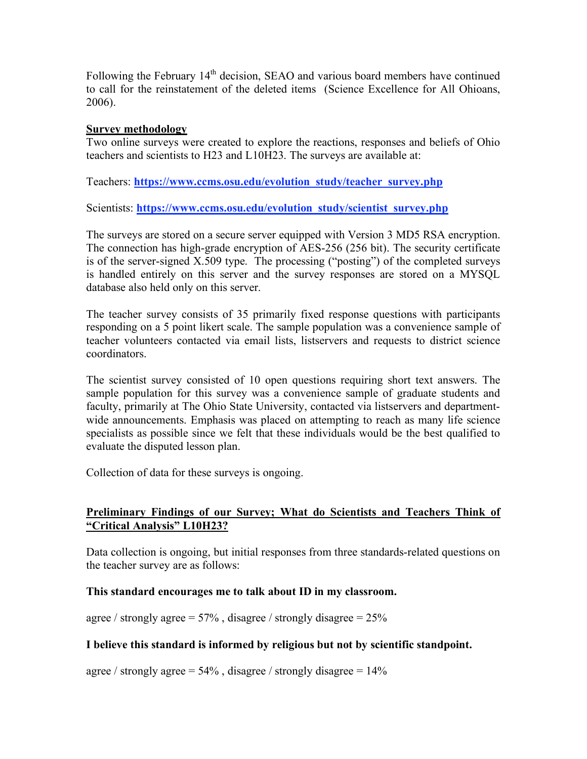Following the February  $14<sup>th</sup>$  decision, SEAO and various board members have continued to call for the reinstatement of the deleted items (Science Excellence for All Ohioans, 2006).

### **Survey methodology**

Two online surveys were created to explore the reactions, responses and beliefs of Ohio teachers and scientists to H23 and L10H23. The surveys are available at:

Teachers: **https://www.ccms.osu.edu/evolution\_study/teacher\_survey.php**

Scientists: **https://www.ccms.osu.edu/evolution\_study/scientist\_survey.php**

The surveys are stored on a secure server equipped with Version 3 MD5 RSA encryption. The connection has high-grade encryption of AES-256 (256 bit). The security certificate is of the server-signed X.509 type. The processing ("posting") of the completed surveys is handled entirely on this server and the survey responses are stored on a MYSQL database also held only on this server.

The teacher survey consists of 35 primarily fixed response questions with participants responding on a 5 point likert scale. The sample population was a convenience sample of teacher volunteers contacted via email lists, listservers and requests to district science coordinators.

The scientist survey consisted of 10 open questions requiring short text answers. The sample population for this survey was a convenience sample of graduate students and faculty, primarily at The Ohio State University, contacted via listservers and departmentwide announcements. Emphasis was placed on attempting to reach as many life science specialists as possible since we felt that these individuals would be the best qualified to evaluate the disputed lesson plan.

Collection of data for these surveys is ongoing.

# **Preliminary Findings of our Survey; What do Scientists and Teachers Think of "Critical Analysis" L10H23?**

Data collection is ongoing, but initial responses from three standards-related questions on the teacher survey are as follows:

### **This standard encourages me to talk about ID in my classroom.**

agree / strongly agree =  $57\%$ , disagree / strongly disagree =  $25\%$ 

# **I believe this standard is informed by religious but not by scientific standpoint.**

agree / strongly agree =  $54\%$ , disagree / strongly disagree =  $14\%$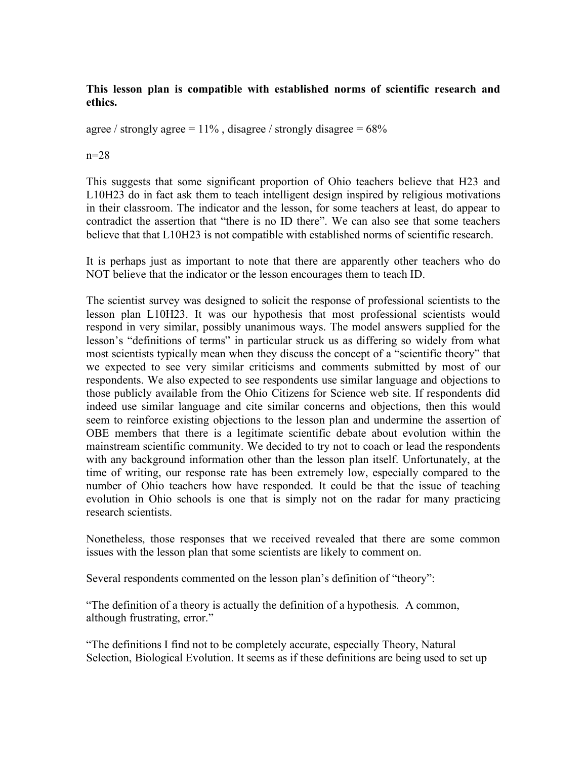# **This lesson plan is compatible with established norms of scientific research and ethics.**

agree / strongly agree =  $11\%$ , disagree / strongly disagree =  $68\%$ 

### $n=28$

This suggests that some significant proportion of Ohio teachers believe that H23 and L10H23 do in fact ask them to teach intelligent design inspired by religious motivations in their classroom. The indicator and the lesson, for some teachers at least, do appear to contradict the assertion that "there is no ID there". We can also see that some teachers believe that that L10H23 is not compatible with established norms of scientific research.

It is perhaps just as important to note that there are apparently other teachers who do NOT believe that the indicator or the lesson encourages them to teach ID.

The scientist survey was designed to solicit the response of professional scientists to the lesson plan L10H23. It was our hypothesis that most professional scientists would respond in very similar, possibly unanimous ways. The model answers supplied for the lesson's "definitions of terms" in particular struck us as differing so widely from what most scientists typically mean when they discuss the concept of a "scientific theory" that we expected to see very similar criticisms and comments submitted by most of our respondents. We also expected to see respondents use similar language and objections to those publicly available from the Ohio Citizens for Science web site. If respondents did indeed use similar language and cite similar concerns and objections, then this would seem to reinforce existing objections to the lesson plan and undermine the assertion of OBE members that there is a legitimate scientific debate about evolution within the mainstream scientific community. We decided to try not to coach or lead the respondents with any background information other than the lesson plan itself. Unfortunately, at the time of writing, our response rate has been extremely low, especially compared to the number of Ohio teachers how have responded. It could be that the issue of teaching evolution in Ohio schools is one that is simply not on the radar for many practicing research scientists.

Nonetheless, those responses that we received revealed that there are some common issues with the lesson plan that some scientists are likely to comment on.

Several respondents commented on the lesson plan's definition of "theory":

"The definition of a theory is actually the definition of a hypothesis. A common, although frustrating, error."

"The definitions I find not to be completely accurate, especially Theory, Natural Selection, Biological Evolution. It seems as if these definitions are being used to set up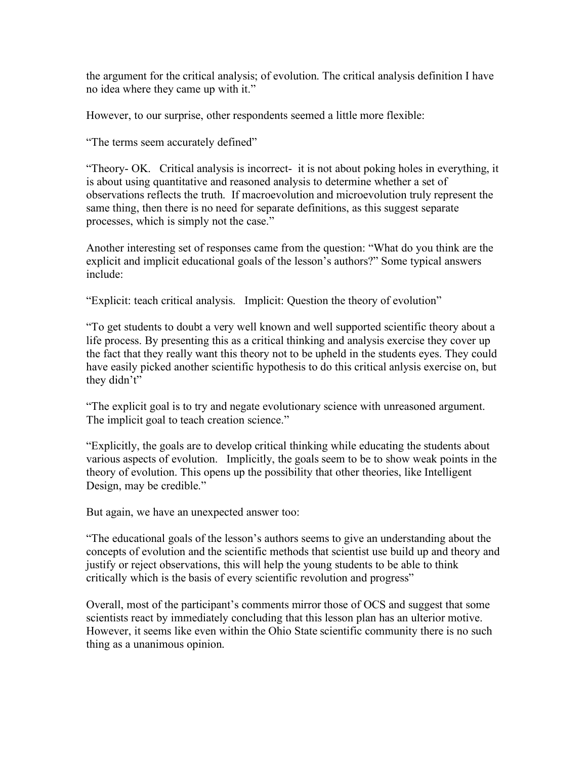the argument for the critical analysis; of evolution. The critical analysis definition I have no idea where they came up with it."

However, to our surprise, other respondents seemed a little more flexible:

"The terms seem accurately defined"

"Theory- OK. Critical analysis is incorrect- it is not about poking holes in everything, it is about using quantitative and reasoned analysis to determine whether a set of observations reflects the truth. If macroevolution and microevolution truly represent the same thing, then there is no need for separate definitions, as this suggest separate processes, which is simply not the case."

Another interesting set of responses came from the question: "What do you think are the explicit and implicit educational goals of the lesson's authors?" Some typical answers include:

"Explicit: teach critical analysis. Implicit: Question the theory of evolution"

"To get students to doubt a very well known and well supported scientific theory about a life process. By presenting this as a critical thinking and analysis exercise they cover up the fact that they really want this theory not to be upheld in the students eyes. They could have easily picked another scientific hypothesis to do this critical anlysis exercise on, but they didn't"

"The explicit goal is to try and negate evolutionary science with unreasoned argument. The implicit goal to teach creation science."

"Explicitly, the goals are to develop critical thinking while educating the students about various aspects of evolution. Implicitly, the goals seem to be to show weak points in the theory of evolution. This opens up the possibility that other theories, like Intelligent Design, may be credible."

But again, we have an unexpected answer too:

"The educational goals of the lesson's authors seems to give an understanding about the concepts of evolution and the scientific methods that scientist use build up and theory and justify or reject observations, this will help the young students to be able to think critically which is the basis of every scientific revolution and progress"

Overall, most of the participant's comments mirror those of OCS and suggest that some scientists react by immediately concluding that this lesson plan has an ulterior motive. However, it seems like even within the Ohio State scientific community there is no such thing as a unanimous opinion.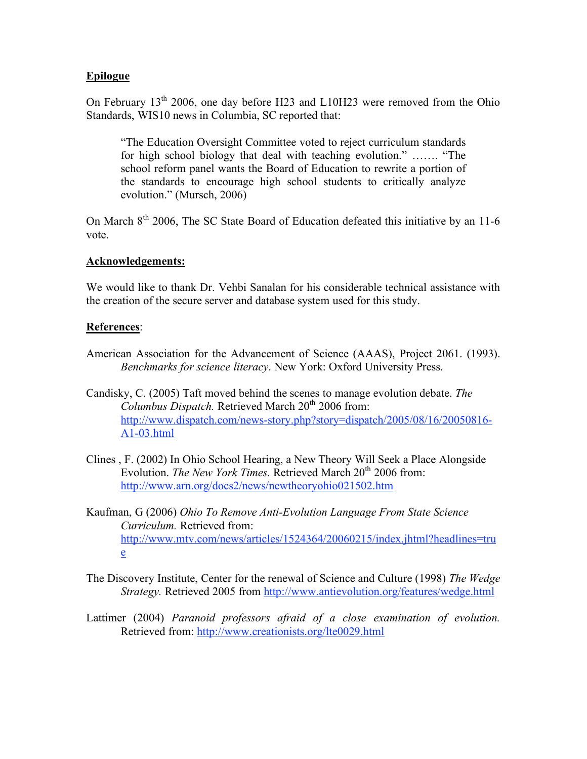## **Epilogue**

On February  $13<sup>th</sup>$  2006, one day before H23 and L10H23 were removed from the Ohio Standards, WIS10 news in Columbia, SC reported that:

"The Education Oversight Committee voted to reject curriculum standards for high school biology that deal with teaching evolution." ……. "The school reform panel wants the Board of Education to rewrite a portion of the standards to encourage high school students to critically analyze evolution." (Mursch, 2006)

On March 8<sup>th</sup> 2006, The SC State Board of Education defeated this initiative by an 11-6 vote.

### **Acknowledgements:**

We would like to thank Dr. Vehbi Sanalan for his considerable technical assistance with the creation of the secure server and database system used for this study.

### **References**:

- American Association for the Advancement of Science (AAAS), Project 2061. (1993). *Benchmarks for science literacy*. New York: Oxford University Press.
- Candisky, C. (2005) Taft moved behind the scenes to manage evolution debate. *The Columbus Dispatch.* Retrieved March 20<sup>th</sup> 2006 from: http://www.dispatch.com/news-story.php?story=dispatch/2005/08/16/20050816- A1-03.html
- Clines , F. (2002) In Ohio School Hearing, a New Theory Will Seek a Place Alongside Evolution. *The New York Times.* Retrieved March 20<sup>th</sup> 2006 from: http://www.arn.org/docs2/news/newtheoryohio021502.htm
- Kaufman, G (2006) *Ohio To Remove Anti-Evolution Language From State Science Curriculum.* Retrieved from: http://www.mtv.com/news/articles/1524364/20060215/index.jhtml?headlines=tru e
- The Discovery Institute, Center for the renewal of Science and Culture (1998) *The Wedge Strategy.* Retrieved 2005 from http://www.antievolution.org/features/wedge.html
- Lattimer (2004) *Paranoid professors afraid of a close examination of evolution.* Retrieved from: http://www.creationists.org/lte0029.html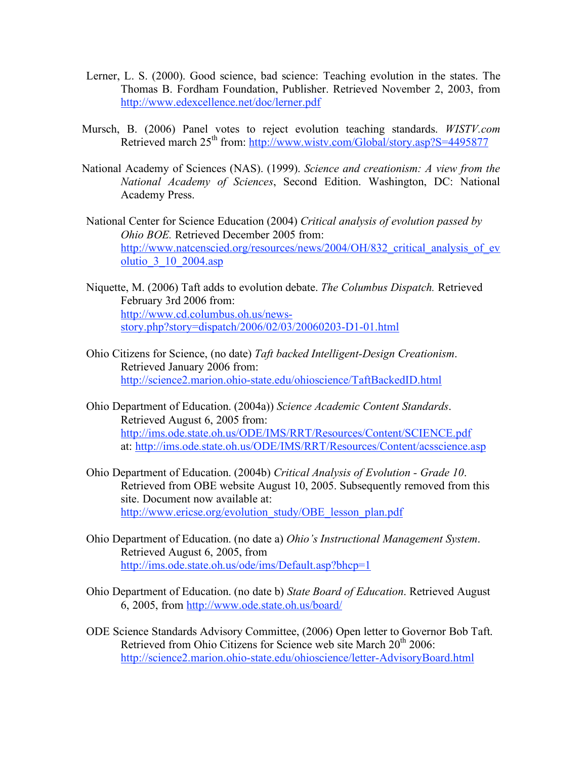- Lerner, L. S. (2000). Good science, bad science: Teaching evolution in the states. The Thomas B. Fordham Foundation, Publisher. Retrieved November 2, 2003, from http://www.edexcellence.net/doc/lerner.pdf
- Mursch, B. (2006) Panel votes to reject evolution teaching standards. *WISTV.com* Retrieved march 25<sup>th</sup> from: http://www.wisty.com/Global/story.asp?S=4495877
- National Academy of Sciences (NAS). (1999). *Science and creationism: A view from the National Academy of Sciences*, Second Edition. Washington, DC: National Academy Press.
- National Center for Science Education (2004) *Critical analysis of evolution passed by Ohio BOE.* Retrieved December 2005 from: http://www.natcenscied.org/resources/news/2004/OH/832 critical analysis of ev olutio\_3\_10\_2004.asp
- Niquette, M. (2006) Taft adds to evolution debate. *The Columbus Dispatch.* Retrieved February 3rd 2006 from: http://www.cd.columbus.oh.us/newsstory.php?story=dispatch/2006/02/03/20060203-D1-01.html
- Ohio Citizens for Science, (no date) *Taft backed Intelligent-Design Creationism*. Retrieved January 2006 from: http://science2.marion.ohio-state.edu/ohioscience/TaftBackedID.html
- Ohio Department of Education. (2004a)) *Science Academic Content Standards*. Retrieved August 6, 2005 from: http://ims.ode.state.oh.us/ODE/IMS/RRT/Resources/Content/SCIENCE.pdf at: http://ims.ode.state.oh.us/ODE/IMS/RRT/Resources/Content/acsscience.asp
- Ohio Department of Education. (2004b) *Critical Analysis of Evolution - Grade 10*. Retrieved from OBE website August 10, 2005. Subsequently removed from this site. Document now available at: http://www.ericse.org/evolution\_study/OBE\_lesson\_plan.pdf
- Ohio Department of Education. (no date a) *Ohio's Instructional Management System*. Retrieved August 6, 2005, from http://ims.ode.state.oh.us/ode/ims/Default.asp?bhcp=1
- Ohio Department of Education. (no date b) *State Board of Education*. Retrieved August 6, 2005, from http://www.ode.state.oh.us/board/
- ODE Science Standards Advisory Committee, (2006) Open letter to Governor Bob Taft. Retrieved from Ohio Citizens for Science web site March  $20<sup>th</sup> 2006$ : http://science2.marion.ohio-state.edu/ohioscience/letter-AdvisoryBoard.html